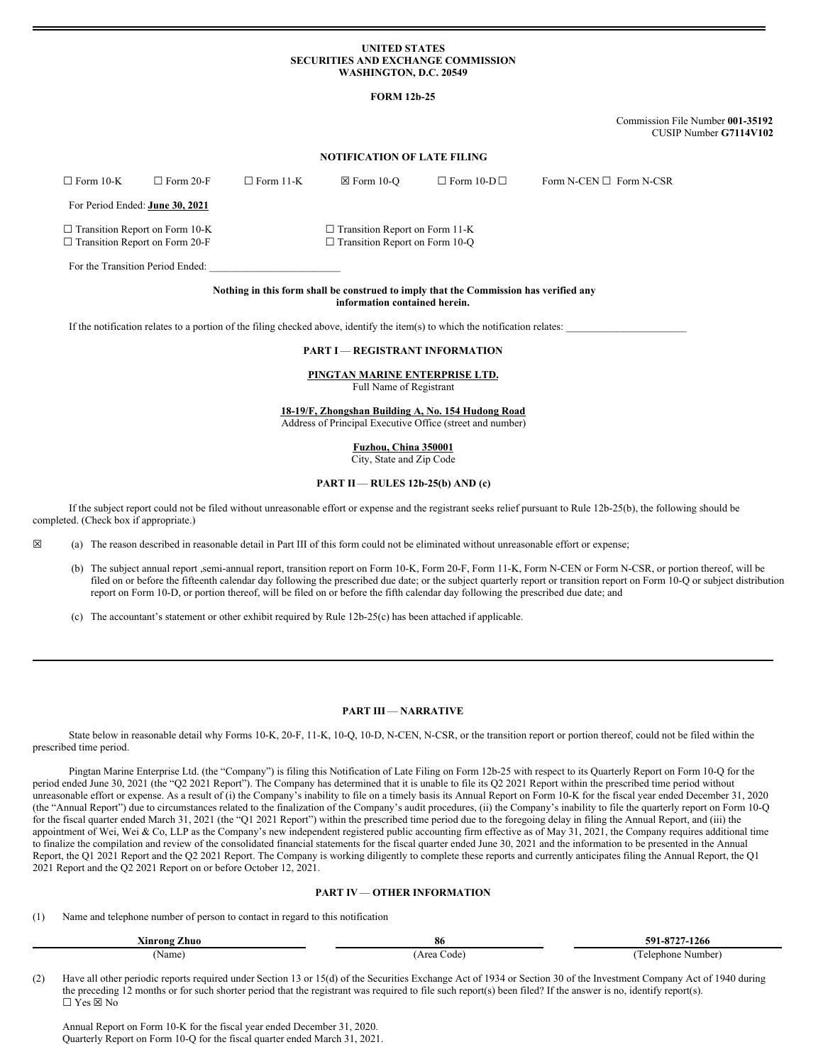# **UNITED STATES SECURITIES AND EXCHANGE COMMISSION WASHINGTON, D.C. 20549**

# **FORM 12b-25**

Commission File Number **001-35192** CUSIP Number **G7114V102**

# **NOTIFICATION OF LATE FILING**

| $\Box$ Form 10-K                                                               | $\Box$ Form 20-F                       | $\Box$ Form 11-K                                                               | $\boxtimes$ Form 10-O | $\Box$ Form 10-D $\Box$ | Form N-CEN $\square$ Form N-CSR |
|--------------------------------------------------------------------------------|----------------------------------------|--------------------------------------------------------------------------------|-----------------------|-------------------------|---------------------------------|
|                                                                                | For Period Ended: <b>June 30, 2021</b> |                                                                                |                       |                         |                                 |
| $\Box$ Transition Report on Form 10-K<br>$\Box$ Transition Report on Form 20-F |                                        | $\Box$ Transition Report on Form 11-K<br>$\Box$ Transition Report on Form 10-Q |                       |                         |                                 |
|                                                                                | For the Transition Period Ended:       |                                                                                |                       |                         |                                 |

#### **Nothing in this form shall be construed to imply that the Commission has verified any information contained herein.**

If the notification relates to a portion of the filing checked above, identify the item(s) to which the notification relates:

# **PART I** — **REGISTRANT INFORMATION**

#### **PINGTAN MARINE ENTERPRISE LTD.** Full Name of Registrant

**18-19/F, Zhongshan Building A, No. 154 Hudong Road**

Address of Principal Executive Office (street and number)

**Fuzhou, China 350001** City, State and Zip Code

#### **PART II** — **RULES 12b-25(b) AND (c)**

If the subject report could not be filed without unreasonable effort or expense and the registrant seeks relief pursuant to Rule 12b-25(b), the following should be completed. (Check box if appropriate.)

☒ (a) The reason described in reasonable detail in Part III of this form could not be eliminated without unreasonable effort or expense;

- (b) The subject annual report ,semi-annual report, transition report on Form 10-K, Form 20-F, Form 11-K, Form N-CEN or Form N-CSR, or portion thereof, will be filed on or before the fifteenth calendar day following the prescribed due date; or the subject quarterly report or transition report on Form 10-Q or subject distribution report on Form 10-D, or portion thereof, will be filed on or before the fifth calendar day following the prescribed due date; and
- (c) The accountant's statement or other exhibit required by Rule 12b-25(c) has been attached if applicable.

## **PART III** — **NARRATIVE**

State below in reasonable detail why Forms 10-K, 20-F, 11-K, 10-Q, 10-D, N-CEN, N-CSR, or the transition report or portion thereof, could not be filed within the prescribed time period.

Pingtan Marine Enterprise Ltd. (the "Company") is filing this Notification of Late Filing on Form 12b-25 with respect to its Quarterly Report on Form 10-Q for the period ended June 30, 2021 (the "Q2 2021 Report"). The Company has determined that it is unable to file its Q2 2021 Report within the prescribed time period without unreasonable effort or expense. As a result of (i) the Company's inability to file on a timely basis its Annual Report on Form 10-K for the fiscal year ended December 31, 2020 (the "Annual Report") due to circumstances related to the finalization of the Company's audit procedures, (ii) the Company's inability to file the quarterly report on Form 10-Q for the fiscal quarter ended March 31, 2021 (the "Q1 2021 Report") within the prescribed time period due to the foregoing delay in filing the Annual Report, and (iii) the appointment of Wei, Wei & Co, LLP as the Company's new independent registered public accounting firm effective as of May 31, 2021, the Company requires additional time to finalize the compilation and review of the consolidated financial statements for the fiscal quarter ended June 30, 2021 and the information to be presented in the Annual Report, the Q1 2021 Report and the Q2 2021 Report. The Company is working diligently to complete these reports and currently anticipates filing the Annual Report, the Q1 2021 Report and the Q2 2021 Report on or before October 12, 2021.

# **PART IV**— **OTHER INFORMATION**

(1) Name and telephone number of person to contact in regard to this notification

| -<br>$-1$<br>'Zhuo<br>Ainrong ( | 86              | 501<br>. 0535<br>-1266<br><br>-- |
|---------------------------------|-----------------|----------------------------------|
| Name                            | Code'<br>Area ( | Number)<br>elephone              |

(2) Have all other periodic reports required under Section 13 or 15(d) of the Securities Exchange Act of 1934 or Section 30 of the Investment Company Act of 1940 during the preceding 12 months or for such shorter period that the registrant was required to file such report(s) been filed? If the answer is no, identify report(s). ☐ Yes ☒ No

Annual Report on Form 10-K for the fiscal year ended December 31, 2020. Quarterly Report on Form 10-Q for the fiscal quarter ended March 31, 2021.